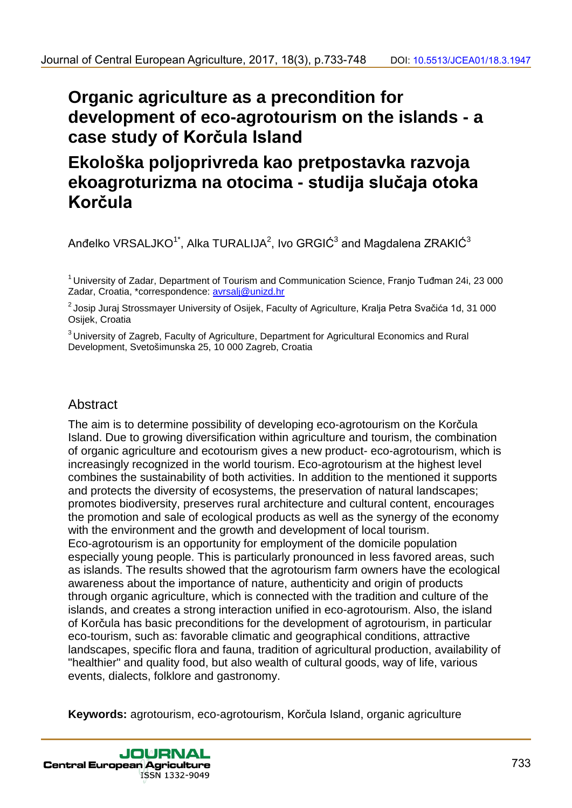# **Organic agriculture as a precondition for development of eco-agrotourism on the islands - a case study of Korčula Island**

# **Ekološka poljoprivreda kao pretpostavka razvoja ekoagroturizma na otocima - studija slučaja otoka Korčula**

Anđelko VRSALJKO $^{\text{\tiny{\textsf{1}}}^*}$ , Alka TURALIJA $^{\text{\tiny{\textsf{2}}}}$ , Ivo GRGIĆ $^{\text{\tiny{\textsf{3}}}}$  and Magdalena ZRAKIĆ $^{\text{\tiny{\textsf{3}}}}$ 

<sup>1</sup> University of Zadar, Department of Tourism and Communication Science, Franio Tuđman 24i, 23 000 Zadar, Croatia, \*correspondence: avrsalj@unizd.hr

<sup>2</sup> Josip Juraj Strossmayer University of Osijek, Faculty of Agriculture, Kralja Petra Svačića 1d, 31 000 Osijek, Croatia

<sup>3</sup> University of Zagreb, Faculty of Agriculture, Department for Agricultural Economics and Rural Development, Svetošimunska 25, 10 000 Zagreb, Croatia

## **Abstract**

The aim is to determine possibility of developing eco-agrotourism on the Korčula Island. Due to growing diversification within agriculture and tourism, the combination of organic agriculture and ecotourism gives a new product- eco-agrotourism, which is increasingly recognized in the world tourism. Eco-agrotourism at the highest level combines the sustainability of both activities. In addition to the mentioned it supports and protects the diversity of ecosystems, the preservation of natural landscapes; promotes biodiversity, preserves rural architecture and cultural content, encourages the promotion and sale of ecological products as well as the synergy of the economy with the environment and the growth and development of local tourism. Eco-agrotourism is an opportunity for employment of the domicile population especially young people. This is particularly pronounced in less favored areas, such as islands. The results showed that the agrotourism farm owners have the ecological awareness about the importance of nature, authenticity and origin of products through organic agriculture, which is connected with the tradition and culture of the islands, and creates a strong interaction unified in eco-agrotourism. Also, the island of Korčula has basic preconditions for the development of agrotourism, in particular eco-tourism, such as: favorable climatic and geographical conditions, attractive landscapes, specific flora and fauna, tradition of agricultural production, availability of "healthier" and quality food, but also wealth of cultural goods, way of life, various events, dialects, folklore and gastronomy. 30 united European Agriculture, 2017, 18(3), p.733-748 DOI: 10.5513/JCEAns 3.1947<br> **Organic agriculture as a precondition for**<br> **Celume as a precondition for deco-agrotonism on the islands - a<br>
case study of Korčula Islan** 30 united European Agriculture, 2017, 18(3), p.733-748DOI: 10.5513/JCEAns 3.1947<br> **Organic agriculture as a precondition for**<br> **Celo-Bical Celo-Bical Central Excludes Central Central Central Central Central Central Centra** 

**Keywords:** agrotourism, eco-agrotourism, Korčula Island, organic agriculture

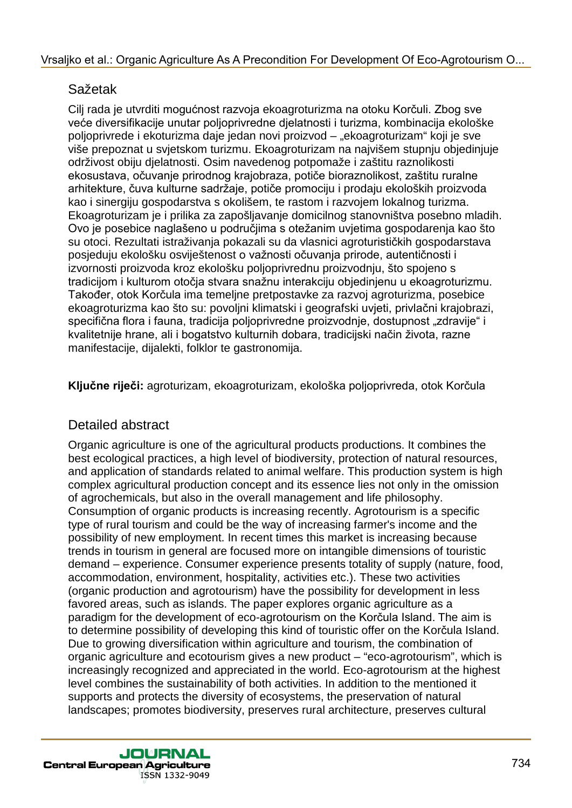# Sažetak

Cilj rada je utvrditi mogućnost razvoja ekoagroturizma na otoku Korčuli. Zbog sve veće diversifikacije unutar poljoprivredne djelatnosti i turizma, kombinacija ekološke poljoprivrede i ekoturizma daje jedan novi proizvod – "ekoagroturizam" koji je sve više prepoznat u svjetskom turizmu. Ekoagroturizam na najvišem stupnju objedinjuje održivost obiju djelatnosti. Osim navedenog potpomaže i zaštitu raznolikosti ekosustava, očuvanje prirodnog krajobraza, potiče bioraznolikost, zaštitu ruralne arhitekture, čuva kulturne sadržaje, potiče promociju i prodaju ekoloških proizvoda kao i sinergiju gospodarstva s okolišem, te rastom i razvojem lokalnog turizma. Ekoagroturizam je i prilika za zapošljavanje domicilnog stanovništva posebno mladih. Ovo je posebice naglašeno u područjima s otežanim uvjetima gospodarenja kao što su otoci. Rezultati istraživanja pokazali su da vlasnici agroturističkih gospodarstava posjeduju ekološku osviještenost o važnosti očuvanja prirode, autentičnosti i izvornosti proizvoda kroz ekološku poljoprivrednu proizvodnju, što spojeno s tradicijom i kulturom otočja stvara snažnu interakciju objedinjenu u ekoagroturizmu. Također, otok Korčula ima temeljne pretpostavke za razvoj agroturizma, posebice ekoagroturizma kao što su: povoljni klimatski i geografski uvjeti, privlačni krajobrazi, specifična flora i fauna, tradicija poljoprivredne proizvodnje, dostupnost "zdravije" i kvalitetnije hrane, ali i bogatstvo kulturnih dobara, tradicijski način života, razne manifestacije, dijalekti, folklor te gastronomija.

**Ključne riječi:** agroturizam, ekoagroturizam, ekološka poljoprivreda, otok Korčula

## Detailed abstract

Organic agriculture is one of the agricultural products productions. It combines the best ecological practices, a high level of biodiversity, protection of natural resources, and application of standards related to animal welfare. This production system is high complex agricultural production concept and its essence lies not only in the omission of agrochemicals, but also in the overall management and life philosophy. Consumption of organic products is increasing recently. Agrotourism is a specific type of rural tourism and could be the way of increasing farmer's income and the possibility of new employment. In recent times this market is increasing because trends in tourism in general are focused more on intangible dimensions of touristic demand – experience. Consumer experience presents totality of supply (nature, food, accommodation, environment, hospitality, activities etc.). These two activities (organic production and agrotourism) have the possibility for development in less favored areas, such as islands. The paper explores organic agriculture as a paradigm for the development of eco-agrotourism on the Korčula Island. The aim is to determine possibility of developing this kind of touristic offer on the Korčula Island. Due to growing diversification within agriculture and tourism, the combination of organic agriculture and ecotourism gives a new product – "eco-agrotourism", which is increasingly recognized and appreciated in the world. Eco-agrotourism at the highest level combines the sustainability of both activities. In addition to the mentioned it supports and protects the diversity of ecosystems, the preservation of natural landscapes; promotes biodiversity, preserves rural architecture, preserves cultural Vrsaljko et al.: Organic Agriculture As A Precondition For Development Of Eco-Agrotourism O...<br>
SaZekak<br>
evelopmentsikaoju unukar polippinevidente delativarian dagriculturan kontininasia skološko<br>
evelopmentsikaoju unukar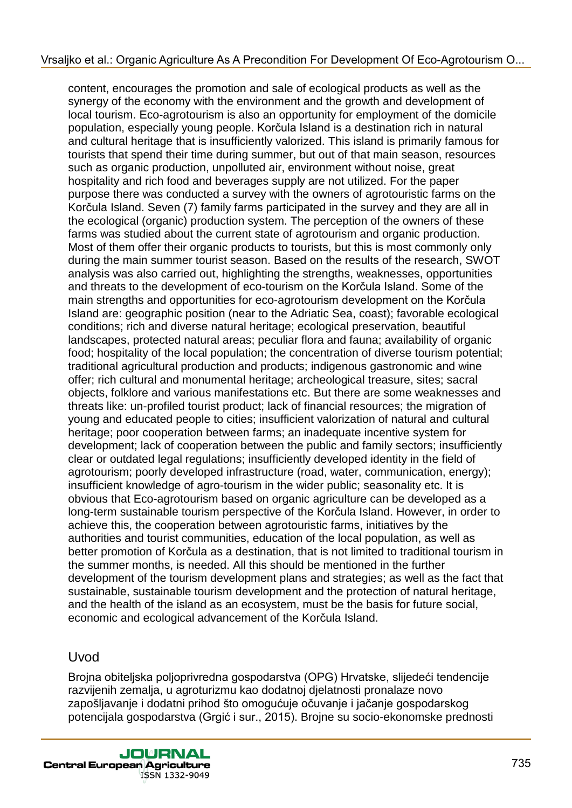content, encourages the promotion and sale of ecological products as well as the synergy of the economy with the environment and the growth and development of local tourism. Eco-agrotourism is also an opportunity for employment of the domicile population, especially young people. Korčula Island is a destination rich in natural and cultural heritage that is insufficiently valorized. This island is primarily famous for tourists that spend their time during summer, but out of that main season, resources such as organic production, unpolluted air, environment without noise, great hospitality and rich food and beverages supply are not utilized. For the paper purpose there was conducted a survey with the owners of agrotouristic farms on the Korčula Island. Seven (7) family farms participated in the survey and they are all in the ecological (organic) production system. The perception of the owners of these farms was studied about the current state of agrotourism and organic production. Most of them offer their organic products to tourists, but this is most commonly only during the main summer tourist season. Based on the results of the research, SWOT analysis was also carried out, highlighting the strengths, weaknesses, opportunities and threats to the development of eco-tourism on the Korčula Island. Some of the main strengths and opportunities for eco-agrotourism development on the Korčula Island are: geographic position (near to the Adriatic Sea, coast); favorable ecological conditions; rich and diverse natural heritage; ecological preservation, beautiful landscapes, protected natural areas; peculiar flora and fauna; availability of organic food; hospitality of the local population; the concentration of diverse tourism potential; traditional agricultural production and products; indigenous gastronomic and wine offer; rich cultural and monumental heritage; archeological treasure, sites; sacral objects, folklore and various manifestations etc. But there are some weaknesses and threats like: un-profiled tourist product; lack of financial resources; the migration of young and educated people to cities; insufficient valorization of natural and cultural heritage; poor cooperation between farms; an inadequate incentive system for development; lack of cooperation between the public and family sectors; insufficiently clear or outdated legal regulations; insufficiently developed identity in the field of agrotourism; poorly developed infrastructure (road, water, communication, energy); insufficient knowledge of agro-tourism in the wider public; seasonality etc. It is obvious that Eco-agrotourism based on organic agriculture can be developed as a long-term sustainable tourism perspective of the Korčula Island. However, in order to achieve this, the cooperation between agrotouristic farms, initiatives by the authorities and tourist communities, education of the local population, as well as better promotion of Korčula as a destination, that is not limited to traditional tourism in the summer months, is needed. All this should be mentioned in the further development of the tourism development plans and strategies; as well as the fact that sustainable, sustainable tourism development and the protection of natural heritage, and the health of the island as an ecosystem, must be the basis for future social, economic and ecological advancement of the Korčula Island. Vrsaljko et al.: Organic Agriculture As A Precondition For Development Of Eco-Agriculture As a the state of anchoritating the term of the properties and the properties and the properties and the properties that the propert

#### Uvod

Brojna obiteljska poljoprivredna gospodarstva (OPG) Hrvatske, slijedeći tendencije razvijenih zemalja, u agroturizmu kao dodatnoj djelatnosti pronalaze novo zapošljavanje i dodatni prihod što omogućuje očuvanje i jačanje gospodarskog potencijala gospodarstva (Grgić i sur., 2015). Brojne su socio-ekonomske prednosti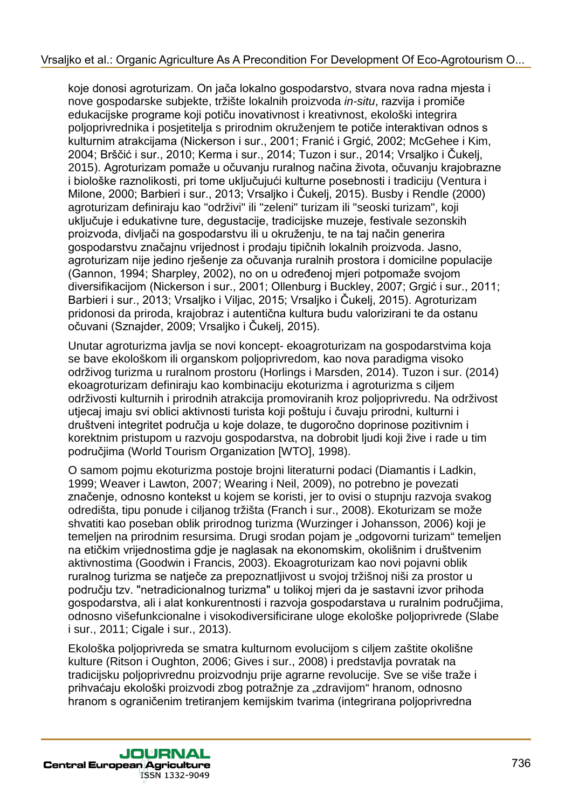koje donosi agroturizam. On jača lokalno gospodarstvo, stvara nova radna mjesta i nove gospodarske subjekte, tržište lokalnih proizvoda *in-situ*, razvija i promiče edukacijske programe koji potiču inovativnost i kreativnost, ekološki integrira poljoprivrednika i posjetitelja s prirodnim okruženjem te potiče interaktivan odnos s kulturnim atrakcijama (Nickerson i sur., 2001; Franić i Grgić, 2002; McGehee i Kim, 2004; Brščić i sur., 2010; Kerma i sur., 2014; Tuzon i sur., 2014; Vrsaljko i Čukelj, 2015). Agroturizam pomaže u očuvanju ruralnog načina života, očuvanju krajobrazne i biološke raznolikosti, pri tome uključujući kulturne posebnosti i tradiciju (Ventura i Milone, 2000; Barbieri i sur., 2013; Vrsaljko i Čukelj, 2015). Busby i Rendle (2000) agroturizam definiraju kao "održivi" ili "zeleni" turizam ili "seoski turizam", koji uključuje i edukativne ture, degustacije, tradicijske muzeje, festivale sezonskih proizvoda, divljači na gospodarstvu ili u okruženju, te na taj način generira gospodarstvu značajnu vrijednost i prodaju tipičnih lokalnih proizvoda. Jasno, agroturizam nije jedino rješenje za očuvanja ruralnih prostora i domicilne populacije (Gannon, 1994; Sharpley, 2002), no on u određenoj mjeri potpomaže svojom diversifikacijom (Nickerson i sur., 2001; Ollenburg i Buckley, 2007; Grgić i sur., 2011; Barbieri i sur., 2013; Vrsaljko i Viljac, 2015; Vrsaljko i Čukelj, 2015). Agroturizam pridonosi da priroda, krajobraz i autentična kultura budu valorizirani te da ostanu očuvani (Sznajder, 2009; Vrsaljko i Čukelj, 2015). Vrsaljko et al.: Organic Agriculture As A Precondition For Development Of Eco-Agriculture As a meta-argument on a return meta-argument on the metal-argument of the metal-argument and the metal-argument and the metal-argume

Unutar agroturizma javlja se novi koncept- ekoagroturizam na gospodarstvima koja se bave ekološkom ili organskom poljoprivredom, kao nova paradigma visoko održivog turizma u ruralnom prostoru (Horlings i Marsden, 2014). Tuzon i sur. (2014) ekoagroturizam definiraju kao kombinaciju ekoturizma i agroturizma s ciljem održivosti kulturnih i prirodnih atrakcija promoviranih kroz poljoprivredu. Na održivost utjecaj imaju svi oblici aktivnosti turista koji poštuju i čuvaju prirodni, kulturni i društveni integritet područja u koje dolaze, te dugoročno doprinose pozitivnim i korektnim pristupom u razvoju gospodarstva, na dobrobit ljudi koji žive i rade u tim područjima (World Tourism Organization [WTO], 1998).

O samom pojmu ekoturizma postoje brojni literaturni podaci (Diamantis i Ladkin, 1999; Weaver i Lawton, 2007; Wearing i Neil, 2009), no potrebno je povezati značenje, odnosno kontekst u kojem se koristi, jer to ovisi o stupnju razvoja svakog odredišta, tipu ponude i ciljanog tržišta (Franch i sur., 2008). Ekoturizam se može shvatiti kao poseban oblik prirodnog turizma (Wurzinger i Johansson, 2006) koji je temeljen na prirodnim resursima. Drugi srodan pojam je "odgovorni turizam" temeljen na etičkim vrijednostima gdje je naglasak na ekonomskim, okolišnim i društvenim aktivnostima (Goodwin i Francis, 2003). Ekoagroturizam kao novi pojavni oblik ruralnog turizma se natječe za prepoznatljivost u svojoj tržišnoj niši za prostor u području tzv. "netradicionalnog turizma" u tolikoj mjeri da je sastavni izvor prihoda gospodarstva, ali i alat konkurentnosti i razvoja gospodarstava u ruralnim područjima, odnosno višefunkcionalne i visokodiversificirane uloge ekološke poljoprivrede (Slabe i sur., 2011; Cigale i sur., 2013).

Ekološka poljoprivreda se smatra kulturnom evolucijom s ciljem zaštite okolišne kulture (Ritson i Oughton, 2006; Gives i sur., 2008) i predstavlja povratak na tradicijsku poljoprivrednu proizvodnju prije agrarne revolucije. Sve se više traže i prihvaćaju ekološki proizvodi zbog potražnje za "zdravijom" hranom, odnosno hranom s ograničenim tretiranjem kemijskim tvarima (integrirana poljoprivredna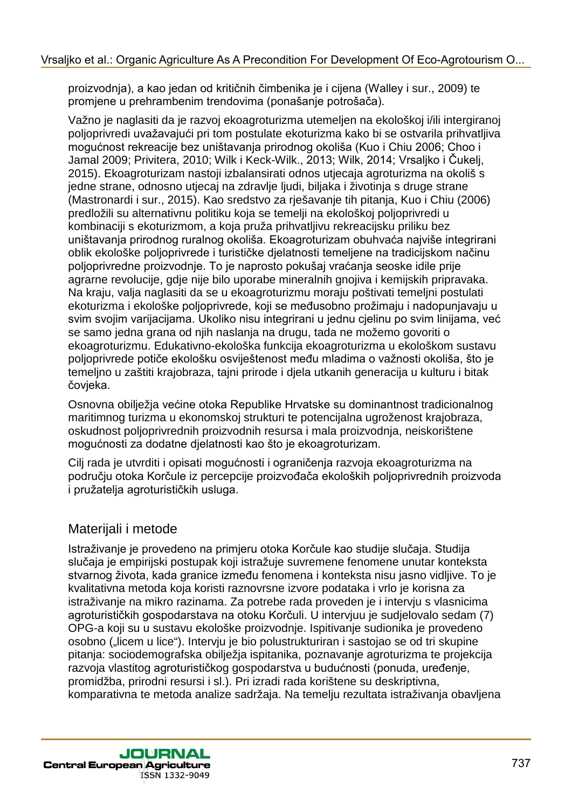proizvodnja), a kao jedan od kritičnih čimbenika je i cijena (Walley i sur., 2009) te promjene u prehrambenim trendovima (ponašanje potrošača).

Važno je naglasiti da je razvoj ekoagroturizma utemeljen na ekološkoj i/ili intergiranoj poljoprivredi uvažavajući pri tom postulate ekoturizma kako bi se ostvarila prihvatljiva mogućnost rekreacije bez uništavanja prirodnog okoliša (Kuo i Chiu 2006; Choo i Jamal 2009; Privitera, 2010; Wilk i Keck-Wilk., 2013; Wilk, 2014; Vrsaljko i Čukelj, 2015). Ekoagroturizam nastoji izbalansirati odnos utjecaja agroturizma na okoliš s jedne strane, odnosno utjecaj na zdravlje ljudi, biljaka i životinja s druge strane (Mastronardi i sur., 2015). Kao sredstvo za rješavanje tih pitanja, Kuo i Chiu (2006) predložili su alternativnu politiku koja se temelji na ekološkoj poljoprivredi u kombinaciji s ekoturizmom, a koja pruža prihvatljivu rekreacijsku priliku bez uništavanja prirodnog ruralnog okoliša. Ekoagroturizam obuhvaća najviše integrirani oblik ekološke poljoprivrede i turističke djelatnosti temeljene na tradicijskom načinu poljoprivredne proizvodnje. To je naprosto pokušaj vraćanja seoske idile prije agrarne revolucije, gdje nije bilo uporabe mineralnih gnojiva i kemijskih pripravaka. Na kraju, valja naglasiti da se u ekoagroturizmu moraju poštivati temeljni postulati ekoturizma i ekološke poljoprivrede, koji se međusobno prožimaju i nadopunjavaju u svim svojim varijacijama. Ukoliko nisu integrirani u jednu cjelinu po svim linijama, već se samo jedna grana od njih naslanja na drugu, tada ne možemo govoriti o ekoagroturizmu. Edukativno-ekološka funkcija ekoagroturizma u ekološkom sustavu poljoprivrede potiče ekološku osviještenost među mladima o važnosti okoliša, što je temeljno u zaštiti krajobraza, tajni prirode i djela utkanih generacija u kulturu i bitak čovjeka. Vrsaljko et al.: Organic Agriculture As A Precondition For Development Of Eco-Agroburism O...<br>
proformering a later patar oil Articulture Cambridge internal furterning in rank-adrotocying in an actual of principal<br>model (w

Osnovna obilježja većine otoka Republike Hrvatske su dominantnost tradicionalnog maritimnog turizma u ekonomskoj strukturi te potencijalna ugroženost krajobraza, oskudnost poljoprivrednih proizvodnih resursa i mala proizvodnja, neiskorištene mogućnosti za dodatne djelatnosti kao što je ekoagroturizam.

Cilj rada je utvrditi i opisati mogućnosti i ograničenja razvoja ekoagroturizma na području otoka Korčule iz percepcije proizvođača ekoloških poljoprivrednih proizvoda i pružatelja agroturističkih usluga.

# Materijali i metode

Istraživanje je provedeno na primjeru otoka Korčule kao studije slučaja. Studija slučaja je empirijski postupak koji istražuje suvremene fenomene unutar konteksta stvarnog života, kada granice između fenomena i konteksta nisu jasno vidljive. To je kvalitativna metoda koja koristi raznovrsne izvore podataka i vrlo je korisna za istraživanje na mikro razinama. Za potrebe rada proveden je i intervju s vlasnicima agroturističkih gospodarstava na otoku Korčuli. U intervjuu je sudjelovalo sedam (7) OPG-a koji su u sustavu ekološke proizvodnje. Ispitivanje sudionika je provedeno osobno ("licem u lice"). Intervju je bio polustrukturiran i sastojao se od tri skupine pitanja: sociodemografska obilježja ispitanika, poznavanje agroturizma te projekcija razvoja vlastitog agroturističkog gospodarstva u budućnosti (ponuda, uređenje, promidžba, prirodni resursi i sl.). Pri izradi rada korištene su deskriptivna, komparativna te metoda analize sadržaja. Na temelju rezultata istraživanja obavljena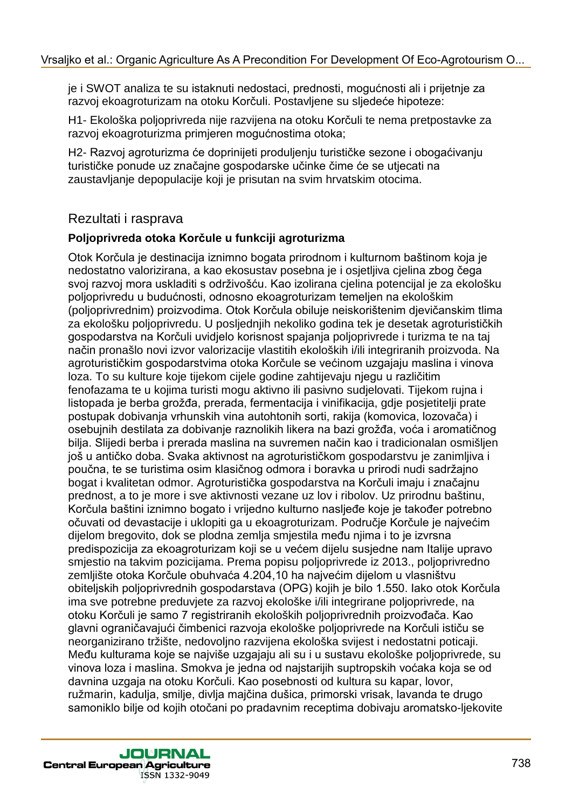je i SWOT analiza te su istaknuti nedostaci, prednosti, mogućnosti ali i prijetnje za razvoj ekoagroturizam na otoku Korčuli. Postavljene su sljedeće hipoteze:

H1- Ekološka poljoprivreda nije razvijena na otoku Korčuli te nema pretpostavke za razvoj ekoagroturizma primjeren mogućnostima otoka;

H2- Razvoj agroturizma će doprinijeti produljenju turističke sezone i obogaćivanju turističke ponude uz značajne gospodarske učinke čime će se utjecati na zaustavljanje depopulacije koji je prisutan na svim hrvatskim otocima.

## Rezultati i rasprava

#### **Poljoprivreda otoka Korčule u funkciji agroturizma**

Otok Korčula je destinacija iznimno bogata prirodnom i kulturnom baštinom koja je nedostatno valorizirana, a kao ekosustav posebna je i osjetljiva cjelina zbog čega svoj razvoj mora uskladiti s održivošću. Kao izolirana cjelina potencijal je za ekološku poljoprivredu u budućnosti, odnosno ekoagroturizam temeljen na ekološkim (poljoprivrednim) proizvodima. Otok Korčula obiluje neiskorištenim djevičanskim tlima za ekološku poljoprivredu. U posljednjih nekoliko godina tek je desetak agroturističkih gospodarstva na Korčuli uvidjelo korisnost spajanja poljoprivrede i turizma te na taj način pronašlo novi izvor valorizacije vlastitih ekoloških i/ili integriranih proizvoda. Na agroturističkim gospodarstvima otoka Korčule se većinom uzgajaju maslina i vinova loza. To su kulture koje tijekom cijele godine zahtijevaju njegu u različitim fenofazama te u kojima turisti mogu aktivno ili pasivno sudjelovati. Tijekom rujna i listopada je berba grožđa, prerada, fermentacija i vinifikacija, gdje posjetitelji prate postupak dobivanja vrhunskih vina autohtonih sorti, rakija (komovica, lozovača) i osebujnih destilata za dobivanje raznolikih likera na bazi grožđa, voća i aromatičnog bilja. Slijedi berba i prerada maslina na suvremen način kao i tradicionalan osmišljen još u antičko doba. Svaka aktivnost na agroturističkom gospodarstvu je zanimljiva i poučna, te se turistima osim klasičnog odmora i boravka u prirodi nudi sadržajno bogat i kvalitetan odmor. Agroturistička gospodarstva na Korčuli imaju i značajnu prednost, a to je more i sve aktivnosti vezane uz lov i ribolov. Uz prirodnu baštinu, Korčula baštini iznimno bogato i vrijedno kulturno nasljeđe koje je također potrebno očuvati od devastacije i uklopiti ga u ekoagroturizam. Područje Korčule je najvećim dijelom bregovito, dok se plodna zemlja smjestila među njima i to je izvrsna predispozicija za ekoagroturizam koji se u većem dijelu susjedne nam Italije upravo smjestio na takvim pozicijama. Prema popisu poljoprivrede iz 2013., poljoprivredno zemljište otoka Korčule obuhvaća 4.204,10 ha najvećim dijelom u vlasništvu obiteljskih poljoprivrednih gospodarstava (OPG) kojih je bilo 1.550. Iako otok Korčula ima sve potrebne preduvjete za razvoj ekološke i/ili integrirane poljoprivrede, na otoku Korčuli je samo 7 registriranih ekoloških poljoprivrednih proizvođača. Kao glavni ograničavajući čimbenici razvoja ekološke poljoprivrede na Korčuli ističu se neorganizirano tržište, nedovoljno razvijena ekološka svijest i nedostatni poticaji. Među kulturama koje se najviše uzgajaju ali su i u sustavu ekološke poljoprivrede, su vinova loza i maslina. Smokva je jedna od najstarijih suptropskih voćaka koja se od davnina uzgaja na otoku Korčuli. Kao posebnosti od kultura su kapar, lovor, ružmarin, kadulja, smilje, divlja majčina dušica, primorski vrisak, lavanda te drugo samoniklo bilje od kojih otočani po pradavnim receptima dobivaju aromatsko-ljekovite Vrsaljko et al.: Organic Agriculture As A Precondition For Development Of Eco-Agriculture As A Precondition For Development an ethical, registering and the stretoile is near perfective and the stretoile is near perfective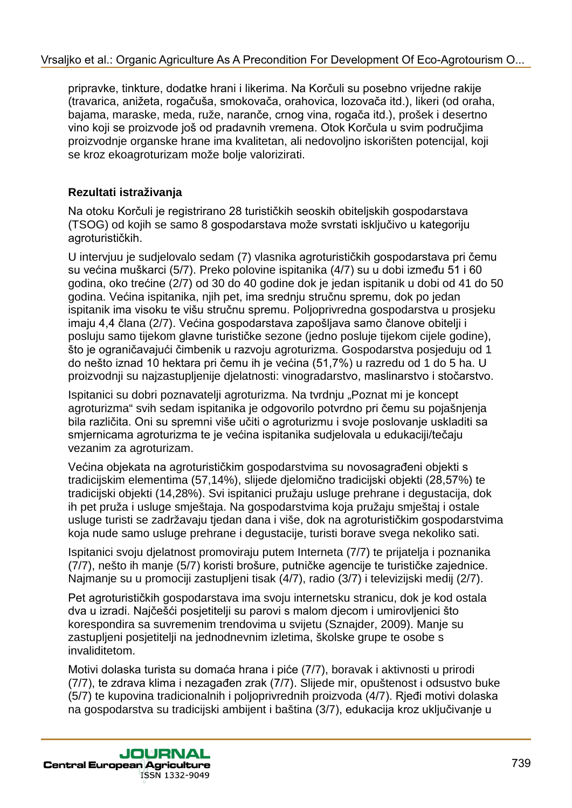pripravke, tinkture, dodatke hrani i likerima. Na Korčuli su posebno vrijedne rakije (travarica, anižeta, rogačuša, smokovača, orahovica, lozovača itd.), likeri (od oraha, bajama, maraske, meda, ruže, naranče, crnog vina, rogača itd.), prošek i desertno vino koji se proizvode još od pradavnih vremena. Otok Korčula u svim područjima proizvodnje organske hrane ima kvalitetan, ali nedovoljno iskorišten potencijal, koji se kroz ekoagroturizam može bolje valorizirati.

## **Rezultati istraživanja**

Na otoku Korčuli je registrirano 28 turističkih seoskih obiteljskih gospodarstava (TSOG) od kojih se samo 8 gospodarstava može svrstati isključivo u kategoriju agroturističkih.

U intervjuu je sudjelovalo sedam (7) vlasnika agroturističkih gospodarstava pri čemu su većina muškarci (5/7). Preko polovine ispitanika (4/7) su u dobi između 51 i 60 godina, oko trećine (2/7) od 30 do 40 godine dok je jedan ispitanik u dobi od 41 do 50 godina. Većina ispitanika, njih pet, ima srednju stručnu spremu, dok po jedan ispitanik ima visoku te višu stručnu spremu. Poljoprivredna gospodarstva u prosjeku imaju 4,4 člana (2/7). Većina gospodarstava zapošljava samo članove obitelji i posluju samo tijekom glavne turističke sezone (jedno posluje tijekom cijele godine), što je ograničavajući čimbenik u razvoju agroturizma. Gospodarstva posjeduju od 1 do nešto iznad 10 hektara pri čemu ih je većina (51,7%) u razredu od 1 do 5 ha. U proizvodnji su najzastupljenije djelatnosti: vinogradarstvo, maslinarstvo i stočarstvo. Vrsaljko et al.: Organic Agriculture As A Precondition For Development Of Eco-Agriculture As A Precondition For Development Of the Color<br>
(ristender, a reduction For Development Agriculture Associates), likeli (od rotation

Ispitanici su dobri poznavatelji agroturizma. Na tvrdnju "Poznat mi je koncept agroturizma" svih sedam ispitanika je odgovorilo potvrdno pri čemu su pojašnjenja bila različita. Oni su spremni više učiti o agroturizmu i svoje poslovanje uskladiti sa smjernicama agroturizma te je većina ispitanika sudjelovala u edukaciji/tečaju vezanim za agroturizam.

Većina objekata na agroturističkim gospodarstvima su novosagrađeni objekti s tradicijskim elementima (57,14%), slijede djelomično tradicijski objekti (28,57%) te tradicijski objekti (14,28%). Svi ispitanici pružaju usluge prehrane i degustacija, dok ih pet pruža i usluge smještaja. Na gospodarstvima koja pružaju smještaj i ostale usluge turisti se zadržavaju tjedan dana i više, dok na agroturističkim gospodarstvima koja nude samo usluge prehrane i degustacije, turisti borave svega nekoliko sati.

Ispitanici svoju djelatnost promoviraju putem Interneta (7/7) te prijatelja i poznanika (7/7), nešto ih manje (5/7) koristi brošure, putničke agencije te turističke zajednice. Najmanje su u promociji zastupljeni tisak (4/7), radio (3/7) i televizijski medij (2/7).

Pet agroturističkih gospodarstava ima svoju internetsku stranicu, dok je kod ostala dva u izradi. Najčešći posjetitelji su parovi s malom djecom i umirovljenici što korespondira sa suvremenim trendovima u svijetu (Sznajder, 2009). Manje su zastupljeni posjetitelji na jednodnevnim izletima, školske grupe te osobe s invaliditetom.

Motivi dolaska turista su domaća hrana i piće (7/7), boravak i aktivnosti u prirodi (7/7), te zdrava klima i nezagađen zrak (7/7). Slijede mir, opuštenost i odsustvo buke (5/7) te kupovina tradicionalnih i poljoprivrednih proizvoda (4/7). Rjeđi motivi dolaska na gospodarstva su tradicijski ambijent i baština (3/7), edukacija kroz uključivanje u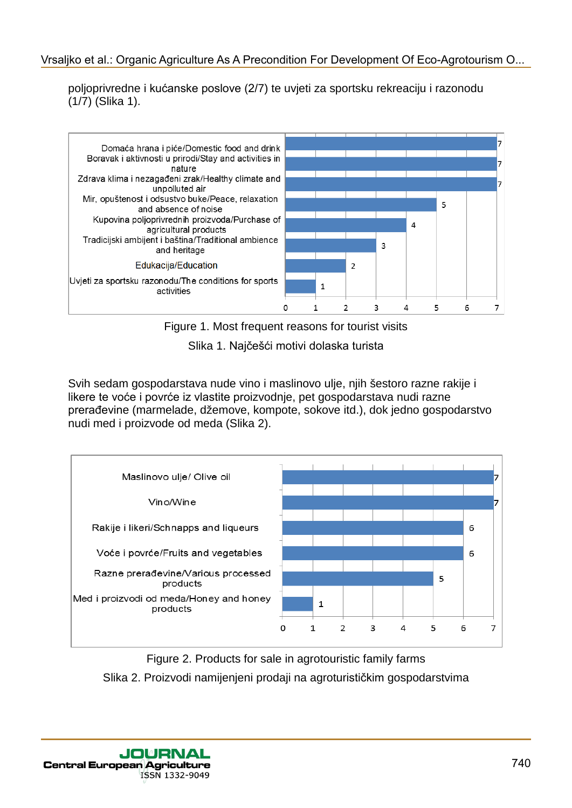poljoprivredne i kućanske poslove (2/7) te uvjeti za sportsku rekreaciju i razonodu (1/7) (Slika 1).



Figure 1. Most frequent reasons for tourist visits

Slika 1. Najčešći motivi dolaska turista

Svih sedam gospodarstava nude vino i maslinovo ulje, njih šestoro razne rakije i likere te voće i povrće iz vlastite proizvodnje, pet gospodarstava nudi razne prerađevine (marmelade, džemove, kompote, sokove itd.), dok jedno gospodarstvo nudi med i proizvode od meda (Slika 2).



Figure 2. Products for sale in agrotouristic family farms Slika 2. Proizvodi namijenjeni prodaji na agroturističkim gospodarstvima

ISSN 1332-9049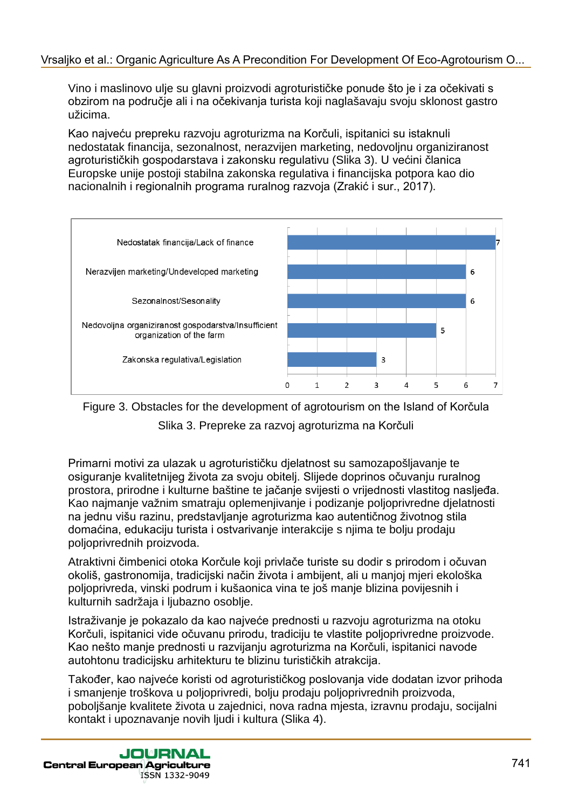Vino i maslinovo ulje su glavni proizvodi agroturističke ponude što je i za očekivati s obzirom na područje ali i na očekivanja turista koji naglašavaju svoju sklonost gastro užicima.

Kao najveću prepreku razvoju agroturizma na Korčuli, ispitanici su istaknuli nedostatak financija, sezonalnost, nerazvijen marketing, nedovoljnu organiziranost agroturističkih gospodarstava i zakonsku regulativu (Slika 3). U većini članica Europske unije postoji stabilna zakonska regulativa i financijska potpora kao dio nacionalnih i regionalnih programa ruralnog razvoja (Zrakić i sur., 2017).



Figure 3. Obstacles for the development of agrotourism on the Island of Korčula

Slika 3. Prepreke za razvoj agroturizma na Korčuli

Primarni motivi za ulazak u agroturističku djelatnost su samozapošljavanje te osiguranje kvalitetnijeg života za svoju obitelj. Slijede doprinos očuvanju ruralnog prostora, prirodne i kulturne baštine te jačanje svijesti o vrijednosti vlastitog nasljeđa. Kao najmanje važnim smatraju oplemenjivanje i podizanje poljoprivredne djelatnosti na jednu višu razinu, predstavljanje agroturizma kao autentičnog životnog stila domaćina, edukaciju turista i ostvarivanje interakcije s njima te bolju prodaju poljoprivrednih proizvoda.

Atraktivni čimbenici otoka Korčule koji privlače turiste su dodir s prirodom i očuvan okoliš, gastronomija, tradicijski način života i ambijent, ali u manjoj mjeri ekološka poljoprivreda, vinski podrum i kušaonica vina te još manje blizina povijesnih i kulturnih sadržaja i ljubazno osoblje.

Istraživanje je pokazalo da kao najveće prednosti u razvoju agroturizma na otoku Korčuli, ispitanici vide očuvanu prirodu, tradiciju te vlastite poljoprivredne proizvode. Kao nešto manje prednosti u razvijanju agroturizma na Korčuli, ispitanici navode autohtonu tradicijsku arhitekturu te blizinu turističkih atrakcija.

Također, kao najveće koristi od agroturističkog poslovanja vide dodatan izvor prihoda i smanjenje troškova u poljoprivredi, bolju prodaju poljoprivrednih proizvoda, poboljšanje kvalitete života u zajednici, nova radna mjesta, izravnu prodaju, socijalni kontakt i upoznavanje novih ljudi i kultura (Slika 4).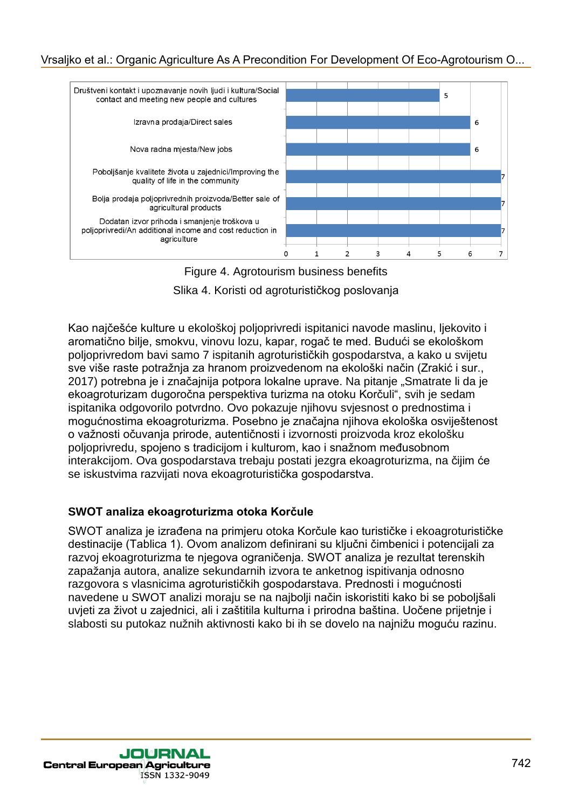

Figure 4. Agrotourism business benefits

Slika 4. Koristi od agroturističkog poslovanja

Kao najčešće kulture u ekološkoj poljoprivredi ispitanici navode maslinu, ljekovito i aromatično bilje, smokvu, vinovu lozu, kapar, rogač te med. Budući se ekološkom poljoprivredom bavi samo 7 ispitanih agroturističkih gospodarstva, a kako u svijetu sve više raste potražnja za hranom proizvedenom na ekološki način (Zrakić i sur., 2017) potrebna je i značajnija potpora lokalne uprave. Na pitanje "Smatrate li da je ekoagroturizam dugoročna perspektiva turizma na otoku Korčuli", svih je sedam ispitanika odgovorilo potvrdno. Ovo pokazuje njihovu svjesnost o prednostima i mogućnostima ekoagroturizma. Posebno je značajna njihova ekološka osviještenost o važnosti očuvanja prirode, autentičnosti i izvornosti proizvoda kroz ekološku poljoprivredu, spojeno s tradicijom i kulturom, kao i snažnom međusobnom interakcijom. Ova gospodarstava trebaju postati jezgra ekoagroturizma, na čijim će se iskustvima razvijati nova ekoagroturistička gospodarstva.

#### **SWOT analiza ekoagroturizma otoka Korčule**

SWOT analiza je izrađena na primjeru otoka Korčule kao turističke i ekoagroturističke destinacije (Tablica 1). Ovom analizom definirani su ključni čimbenici i potencijali za razvoj ekoagroturizma te njegova ograničenja. SWOT analiza je rezultat terenskih zapažanja autora, analize sekundarnih izvora te anketnog ispitivanja odnosno razgovora s vlasnicima agroturističkih gospodarstava. Prednosti i mogućnosti navedene u SWOT analizi moraju se na najbolji način iskoristiti kako bi se poboljšali uvjeti za život u zajednici, ali i zaštitila kulturna i prirodna baština. Uočene prijetnje i slabosti su putokaz nužnih aktivnosti kako bi ih se dovelo na najnižu moguću razinu.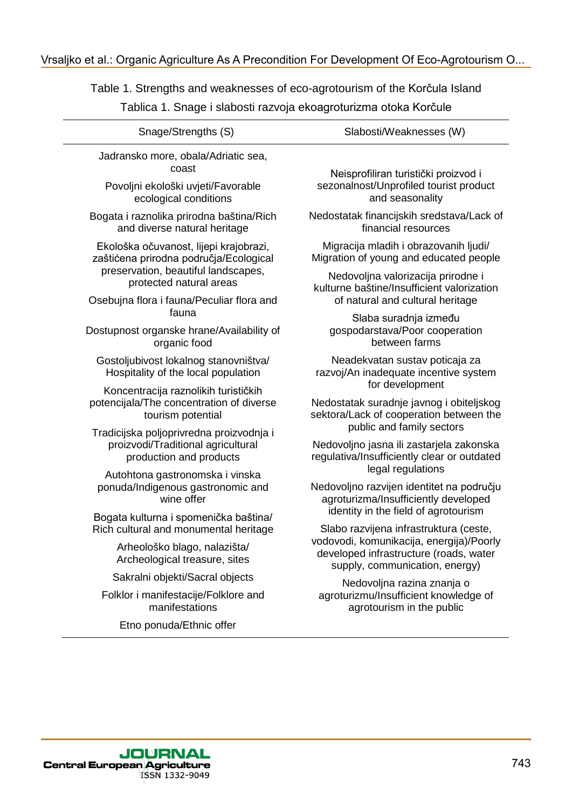| Snage/Strengths (S)                                                                                                                                                                             | Slabosti/Weaknesses (W)                                                                                                             |
|-------------------------------------------------------------------------------------------------------------------------------------------------------------------------------------------------|-------------------------------------------------------------------------------------------------------------------------------------|
| Jadransko more, obala/Adriatic sea,<br>coast<br>Povoljni ekološki uvjeti/Favorable                                                                                                              | Neisprofiliran turistički proizvod i<br>sezonalnost/Unprofiled tourist product                                                      |
| ecological conditions                                                                                                                                                                           | and seasonality                                                                                                                     |
| Bogata i raznolika prirodna baština/Rich<br>and diverse natural heritage                                                                                                                        | Nedostatak financijskih sredstava/Lack of<br>financial resources                                                                    |
| Ekološka očuvanost, lijepi krajobrazi,<br>zaštićena prirodna područja/Ecological<br>preservation, beautiful landscapes,<br>protected natural areas<br>Osebujna flora i fauna/Peculiar flora and | Migracija mladih i obrazovanih ljudi/<br>Migration of young and educated people                                                     |
|                                                                                                                                                                                                 | Nedovoljna valorizacija prirodne i<br>kulturne baštine/Insufficient valorization<br>of natural and cultural heritage                |
| fauna<br>Dostupnost organske hrane/Availability of<br>organic food                                                                                                                              | Slaba suradnja između<br>gospodarstava/Poor cooperation<br>between farms                                                            |
| Gostoljubivost lokalnog stanovništva/<br>Hospitality of the local population                                                                                                                    | Neadekvatan sustav poticaja za<br>razvoj/An inadequate incentive system                                                             |
| Koncentracija raznolikih turističkih<br>potencijala/The concentration of diverse<br>tourism potential                                                                                           | for development<br>Nedostatak suradnje javnog i obiteljskog<br>sektora/Lack of cooperation between the<br>public and family sectors |
| Tradicijska poljoprivredna proizvodnja i<br>proizvodi/Traditional agricultural<br>production and products                                                                                       | Nedovoljno jasna ili zastarjela zakonska<br>regulativa/Insufficiently clear or outdated                                             |
| Autohtona gastronomska i vinska<br>ponuda/Indigenous gastronomic and<br>wine offer                                                                                                              | legal regulations<br>Nedovoljno razvijen identitet na području<br>agroturizma/Insufficiently developed                              |
| Bogata kulturna i spomenička baština/<br>Rich cultural and monumental heritage                                                                                                                  | identity in the field of agrotourism<br>Slabo razvijena infrastruktura (ceste,                                                      |
| Arheološko blago, nalazišta/<br>Archeological treasure, sites                                                                                                                                   | vodovodi, komunikacija, energija)/Poorly<br>developed infrastructure (roads, water<br>supply, communication, energy)                |
| Sakralni objekti/Sacral objects                                                                                                                                                                 | Nedovoljna razina znanja o                                                                                                          |
| Folklor i manifestacije/Folklore and<br>manifestations                                                                                                                                          | agroturizmu/Insufficient knowledge of<br>agrotourism in the public                                                                  |
| Etno ponuda/Ethnic offer                                                                                                                                                                        |                                                                                                                                     |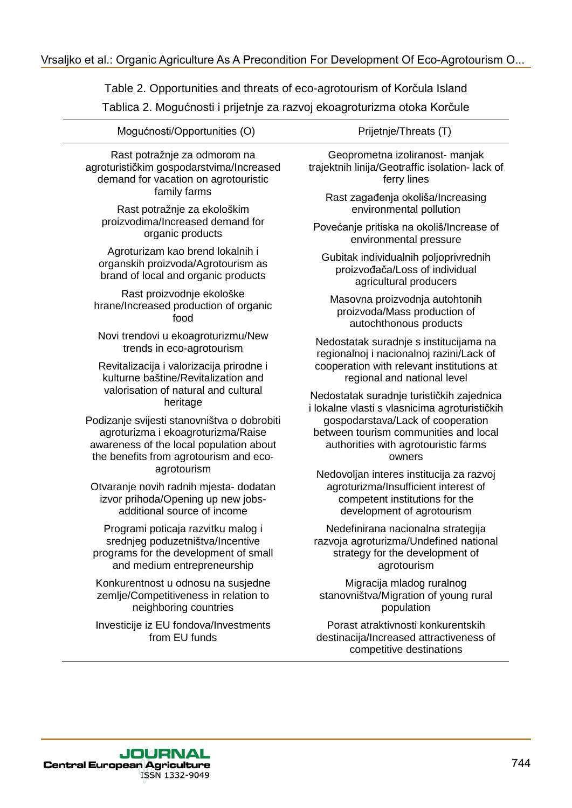| Mogućnosti/Opportunities (O)                                                                                                                                                          | Prijetnje/Threats (T)                                                                                                                            |
|---------------------------------------------------------------------------------------------------------------------------------------------------------------------------------------|--------------------------------------------------------------------------------------------------------------------------------------------------|
| Rast potražnje za odmorom na<br>agroturističkim gospodarstvima/Increased<br>demand for vacation on agrotouristic<br>family farms                                                      | Geoprometna izoliranost- manjak<br>trajektnih linija/Geotraffic isolation- lack of<br>ferry lines                                                |
| Rast potražnje za ekološkim                                                                                                                                                           | Rast zagađenja okoliša/Increasing<br>environmental pollution                                                                                     |
| proizvodima/Increased demand for                                                                                                                                                      | Povećanje pritiska na okoliš/Increase of                                                                                                         |
| organic products                                                                                                                                                                      | environmental pressure                                                                                                                           |
| Agroturizam kao brend lokalnih i                                                                                                                                                      | Gubitak individualnih poljoprivrednih                                                                                                            |
| organskih proizvoda/Agrotourism as                                                                                                                                                    | proizvođača/Loss of individual                                                                                                                   |
| brand of local and organic products                                                                                                                                                   | agricultural producers                                                                                                                           |
| Rast proizvodnje ekološke                                                                                                                                                             | Masovna proizvodnja autohtonih                                                                                                                   |
| hrane/Increased production of organic                                                                                                                                                 | proizvoda/Mass production of                                                                                                                     |
| food                                                                                                                                                                                  | autochthonous products                                                                                                                           |
| Novi trendovi u ekoagroturizmu/New                                                                                                                                                    | Nedostatak suradnje s institucijama na                                                                                                           |
| trends in eco-agrotourism                                                                                                                                                             | regionalnoj i nacionalnoj razini/Lack of                                                                                                         |
| Revitalizacija i valorizacija prirodne i                                                                                                                                              | cooperation with relevant institutions at                                                                                                        |
| kulturne baštine/Revitalization and                                                                                                                                                   | regional and national level                                                                                                                      |
| valorisation of natural and cultural                                                                                                                                                  | Nedostatak suradnje turističkih zajednica                                                                                                        |
| heritage                                                                                                                                                                              | i lokalne vlasti s vlasnicima agroturističkih                                                                                                    |
| Podizanje svijesti stanovništva o dobrobiti<br>agroturizma i ekoagroturizma/Raise<br>awareness of the local population about<br>the benefits from agrotourism and eco-<br>agrotourism | gospodarstava/Lack of cooperation<br>between tourism communities and local<br>authorities with agrotouristic farms<br>owners                     |
| Otvaranje novih radnih mjesta- dodatan<br>izvor prihoda/Opening up new jobs-<br>additional source of income                                                                           | Nedovoljan interes institucija za razvoj<br>agroturizma/Insufficient interest of<br>competent institutions for the<br>development of agrotourism |
| Programi poticaja razvitku malog i                                                                                                                                                    | Nedefinirana nacionalna strategija                                                                                                               |
| srednjeg poduzetništva/Incentive                                                                                                                                                      | razvoja agroturizma/Undefined national                                                                                                           |
| programs for the development of small                                                                                                                                                 | strategy for the development of                                                                                                                  |
| and medium entrepreneurship                                                                                                                                                           | agrotourism                                                                                                                                      |
| Konkurentnost u odnosu na susjedne                                                                                                                                                    | Migracija mladog ruralnog                                                                                                                        |
| zemlje/Competitiveness in relation to                                                                                                                                                 | stanovništva/Migration of young rural                                                                                                            |
| neighboring countries                                                                                                                                                                 | population                                                                                                                                       |
| Investicije iz EU fondova/Investments<br>from EU funds                                                                                                                                | Porast atraktivnosti konkurentskih<br>destinacija/Increased attractiveness of<br>competitive destinations                                        |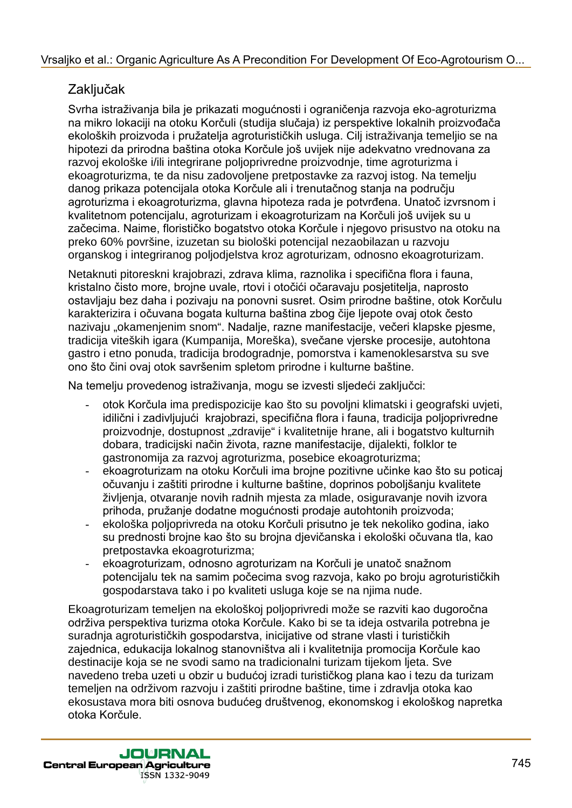# Zaključak

Svrha istraživanja bila je prikazati mogućnosti i ograničenja razvoja eko-agroturizma na mikro lokaciji na otoku Korčuli (studija slučaja) iz perspektive lokalnih proizvođača ekoloških proizvoda i pružatelja agroturističkih usluga. Cilj istraživanja temeljio se na hipotezi da prirodna baština otoka Korčule još uvijek nije adekvatno vrednovana za razvoj ekološke i/ili integrirane poljoprivredne proizvodnje, time agroturizma i ekoagroturizma, te da nisu zadovoljene pretpostavke za razvoj istog. Na temelju danog prikaza potencijala otoka Korčule ali i trenutačnog stanja na području agroturizma i ekoagroturizma, glavna hipoteza rada je potvrđena. Unatoč izvrsnom i kvalitetnom potencijalu, agroturizam i ekoagroturizam na Korčuli još uvijek su u začecima. Naime, florističko bogatstvo otoka Korčule i njegovo prisustvo na otoku na preko 60% površine, izuzetan su biološki potencijal nezaobilazan u razvoju organskog i integriranog poljodjelstva kroz agroturizam, odnosno ekoagroturizam. Vrsaljko et al.: Organic Agriculture As A Precondition For Development Of Eco-Agrotourism O...<br>
2xHylivc&ki-h prochoot Vrcolin (skudija a programe prochoot in the metric behavior an minic locked in a most vrocondition and

Netaknuti pitoreskni krajobrazi, zdrava klima, raznolika i specifična flora i fauna, kristalno čisto more, brojne uvale, rtovi i otočići očaravaju posjetitelja, naprosto ostavljaju bez daha i pozivaju na ponovni susret. Osim prirodne baštine, otok Korčulu karakterizira i očuvana bogata kulturna baština zbog čije ljepote ovaj otok često nazivaju "okamenjenim snom". Nadalje, razne manifestacije, večeri klapske pjesme, tradicija viteških igara (Kumpanija, Moreška), svečane vjerske procesije, autohtona gastro i etno ponuda, tradicija brodogradnje, pomorstva i kamenoklesarstva su sve ono što čini ovaj otok savršenim spletom prirodne i kulturne baštine.

Na temelju provedenog istraživanja, mogu se izvesti sljedeći zaključci:

- otok Korčula ima predispozicije kao što su povoljni klimatski i geografski uvjeti, idilični i zadivljujući krajobrazi, specifična flora i fauna, tradicija poljoprivredne proizvodnje, dostupnost "zdravije" i kvalitetnije hrane, ali i bogatstvo kulturnih dobara, tradicijski način života, razne manifestacije, dijalekti, folklor te gastronomija za razvoj agroturizma, posebice ekoagroturizma;
- ekoagroturizam na otoku Korčuli ima brojne pozitivne učinke kao što su poticaj očuvanju i zaštiti prirodne i kulturne baštine, doprinos poboljšanju kvalitete življenja, otvaranje novih radnih mjesta za mlade, osiguravanje novih izvora prihoda, pružanje dodatne mogućnosti prodaje autohtonih proizvoda;
- ekološka poljoprivreda na otoku Korčuli prisutno je tek nekoliko godina, iako su prednosti brojne kao što su brojna djevičanska i ekološki očuvana tla, kao pretpostavka ekoagroturizma;
- ekoagroturizam, odnosno agroturizam na Korčuli je unatoč snažnom potencijalu tek na samim počecima svog razvoja, kako po broju agroturističkih gospodarstava tako i po kvaliteti usluga koje se na njima nude.

Ekoagroturizam temeljen na ekološkoj poljoprivredi može se razviti kao dugoročna održiva perspektiva turizma otoka Korčule. Kako bi se ta ideja ostvarila potrebna je suradnja agroturističkih gospodarstva, inicijative od strane vlasti i turističkih zajednica, edukacija lokalnog stanovništva ali i kvalitetnija promocija Korčule kao destinacije koja se ne svodi samo na tradicionalni turizam tijekom ljeta. Sve navedeno treba uzeti u obzir u budućoj izradi turističkog plana kao i tezu da turizam temeljen na održivom razvoju i zaštiti prirodne baštine, time i zdravlja otoka kao ekosustava mora biti osnova budućeg društvenog, ekonomskog i ekološkog napretka otoka Korčule.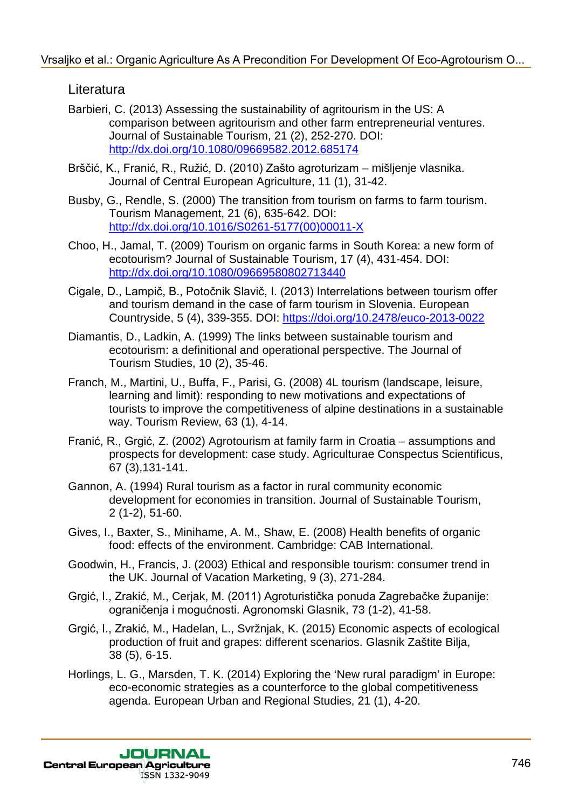### **Literatura**

- Barbieri, C. (2013) Assessing the sustainability of agritourism in the US: A comparison between agritourism and other farm entrepreneurial ventures. Journal of Sustainable Tourism, 21 (2), 252-270. DOI: http://dx.doi.org/10.1080/09669582.2012.685174
- Brščić, K., Franić, R., Ružić, D. (2010) Zašto agroturizam mišljenje vlasnika. Journal of Central European Agriculture, 11 (1), 31-42.
- Busby, G., Rendle, S. (2000) The transition from tourism on farms to farm tourism. Tourism Management, 21 (6), 635-642. DOI: http://dx.doi.org/10.1016/S0261-5177(00)00011-X
- Choo, H., Jamal, T. (2009) Tourism on organic farms in South Korea: a new form of ecotourism? Journal of Sustainable Tourism, 17 (4), 431-454. DOI: http://dx.doi.org/10.1080/09669580802713440
- Cigale, D., Lampič, B., Potočnik Slavič, I. (2013) Interrelations between tourism offer and tourism demand in the case of farm tourism in Slovenia. European Countryside, 5 (4), 339-355. DOI: https://doi.org/10.2478/euco-2013-0022
- Diamantis, D., Ladkin, A. (1999) The links between sustainable tourism and ecotourism: a definitional and operational perspective. The Journal of Tourism Studies, 10 (2), 35-46.
- Franch, M., Martini, U., Buffa, F., Parisi, G. (2008) 4L tourism (landscape, leisure, learning and limit): responding to new motivations and expectations of tourists to improve the competitiveness of alpine destinations in a sustainable way. Tourism Review, 63 (1), 4-14. Vrsaljko et al.: Organic Agriculture As A Precondition For Development Of Eco-Agrotourism O...<br>
Leherture and the constrained in the US: A<br>
somparison between agriculture and chiral mention for Development Of International
	- Franić, R., Grgić, Z. (2002) Agrotourism at family farm in Croatia assumptions and prospects for development: case study. Agriculturae Conspectus Scientificus, 67 (3),131-141.
	- Gannon, A. (1994) Rural tourism as a factor in rural community economic development for economies in transition. Journal of Sustainable Tourism, 2 (1-2), 51-60.
	- Gives, I., Baxter, S., Minihame, A. M., Shaw, E. (2008) Health benefits of organic food: effects of the environment. Cambridge: CAB International.
	- Goodwin, H., Francis, J. (2003) Ethical and responsible tourism: consumer trend in the UK. Journal of Vacation Marketing, 9 (3), 271-284.
	- Grgić, I., Zrakić, M., Cerjak, M. (2011) Agroturistička ponuda Zagrebačke županije: ograničenja i mogućnosti. Agronomski Glasnik, 73 (1-2), 41-58.
	- Grgić, I., Zrakić, M., Hadelan, L., Svržnjak, K. (2015) Economic aspects of ecological production of fruit and grapes: different scenarios. Glasnik Zaštite Bilja, 38 (5), 6-15.
	- Horlings, L. G., Marsden, T. K. (2014) Exploring the 'New rural paradigm' in Europe: eco-economic strategies as a counterforce to the global competitiveness agenda. European Urban and Regional Studies, 21 (1), 4-20.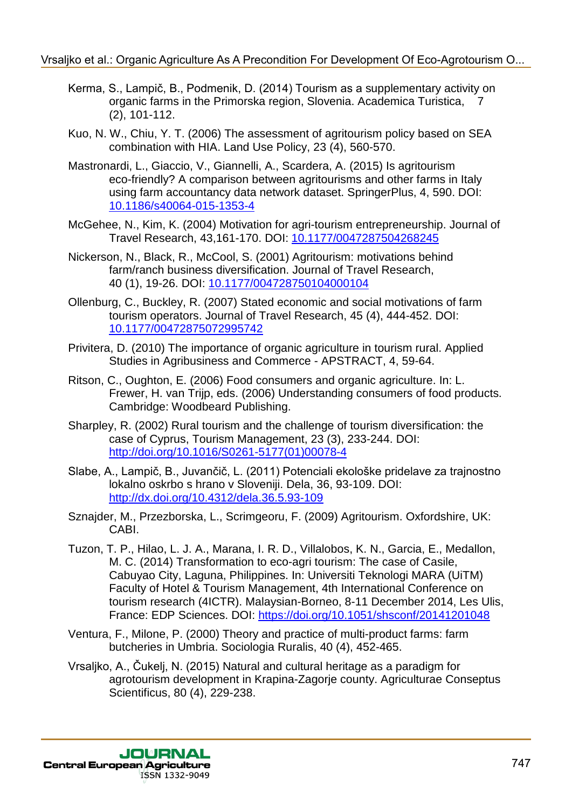- Kerma, S., Lampič, B., Podmenik, D. (2014) Tourism as a supplementary activity on organic farms in the Primorska region, Slovenia. Academica Turistica, 7 (2), 101-112.
- Kuo, N. W., Chiu, Y. T. (2006) The assessment of agritourism policy based on SEA combination with HIA. Land Use Policy, 23 (4), 560-570.
- Mastronardi, L., Giaccio, V., Giannelli, A., Scardera, A. (2015) Is agritourism eco-friendly? A comparison between agritourisms and other farms in Italy using farm accountancy data network dataset. SpringerPlus, 4, 590. DOI: 10.1186/s40064-015-1353-4
- McGehee, N., Kim, K. (2004) Motivation for agri-tourism entrepreneurship. Journal of Travel Research, 43,161-170. DOI: 10.1177/0047287504268245
- Nickerson, N., Black, R., McCool, S. (2001) Agritourism: motivations behind farm/ranch business diversification. Journal of Travel Research, 40 (1), 19-26. DOI: 10.1177/004728750104000104
- Ollenburg, C., Buckley, R. (2007) Stated economic and social motivations of farm tourism operators. Journal of Travel Research, 45 (4), 444-452. DOI: 10.1177/00472875072995742
- Privitera, D. (2010) The importance of organic agriculture in tourism rural. Applied Studies in Agribusiness and Commerce - APSTRACT, 4, 59-64.
- Ritson, C., Oughton, E. (2006) Food consumers and organic agriculture. In: L. Frewer, H. van Trijp, eds. (2006) Understanding consumers of food products. Cambridge: Woodbeard Publishing.
- Sharpley, R. (2002) Rural tourism and the challenge of tourism diversification: the case of Cyprus, Tourism Management, 23 (3), 233-244. DOI: http://doi.org/10.1016/S0261-5177(01)00078-4
- Slabe, A., Lampič, B., Juvančič, L. (2011) Potenciali ekološke pridelave za trajnostno lokalno oskrbo s hrano v Sloveniji. Dela, 36, 93-109. DOI: http://dx.doi.org/10.4312/dela.36.5.93-109
- Sznajder, M., Przezborska, L., Scrimgeoru, F. (2009) Agritourism. Oxfordshire, UK: CABI.
- Tuzon, T. P., Hilao, L. J. A., Marana, I. R. D., Villalobos, K. N., Garcia, E., Medallon, M. C. (2014) Transformation to eco-agri tourism: The case of Casile, Cabuyao City, Laguna, Philippines. In: Universiti Teknologi MARA (UiTM) Faculty of Hotel & Tourism Management, 4th International Conference on tourism research (4ICTR). Malaysian-Borneo, 8-11 December 2014, Les Ulis, France: EDP Sciences. DOI: https://doi.org/10.1051/shsconf/20141201048 Vrsaljko et al.: Organic Agriculture As A Precondition For Development Of Eco-Agroburism O...<br>
Kura, Sq. (16): 11-12, (2008) The assessment of agriculture as a supplementary activity or<br>
26, 10: 11-12, (2008) The assessmen
	- Ventura, F., Milone, P. (2000) Theory and practice of multi-product farms: farm butcheries in Umbria. Sociologia Ruralis, 40 (4), 452-465.
	- Vrsaljko, A., Čukelj, N. (2015) Natural and cultural heritage as a paradigm for agrotourism development in Krapina-Zagorje county. Agriculturae Conseptus Scientificus, 80 (4), 229-238.